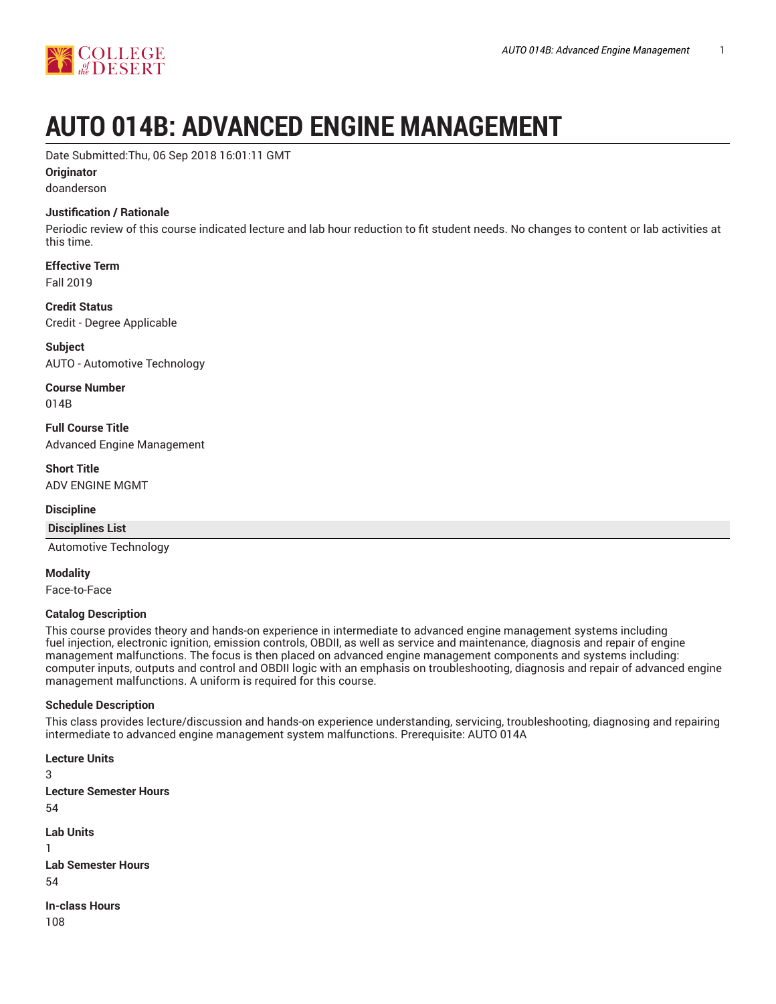

# **AUTO 014B: ADVANCED ENGINE MANAGEMENT**

Date Submitted:Thu, 06 Sep 2018 16:01:11 GMT

#### **Originator**

doanderson

#### **Justification / Rationale**

Periodic review of this course indicated lecture and lab hour reduction to fit student needs. No changes to content or lab activities at this time.

# **Effective Term**

Fall 2019

#### **Credit Status**

Credit - Degree Applicable

**Subject** AUTO - Automotive Technology

**Course Number**

014B

**Full Course Title** Advanced Engine Management

**Short Title** ADV ENGINE MGMT

## **Discipline**

#### **Disciplines List**

Automotive Technology

#### **Modality**

Face-to-Face

#### **Catalog Description**

This course provides theory and hands-on experience in intermediate to advanced engine management systems including fuel injection, electronic ignition, emission controls, OBDII, as well as service and maintenance, diagnosis and repair of engine management malfunctions. The focus is then placed on advanced engine management components and systems including: computer inputs, outputs and control and OBDII logic with an emphasis on troubleshooting, diagnosis and repair of advanced engine management malfunctions. A uniform is required for this course.

#### **Schedule Description**

This class provides lecture/discussion and hands-on experience understanding, servicing, troubleshooting, diagnosing and repairing intermediate to advanced engine management system malfunctions. Prerequisite: AUTO 014A

**Lecture Units** 3 **Lecture Semester Hours** 54 **Lab Units** 1 **Lab Semester Hours** 54 **In-class Hours** 108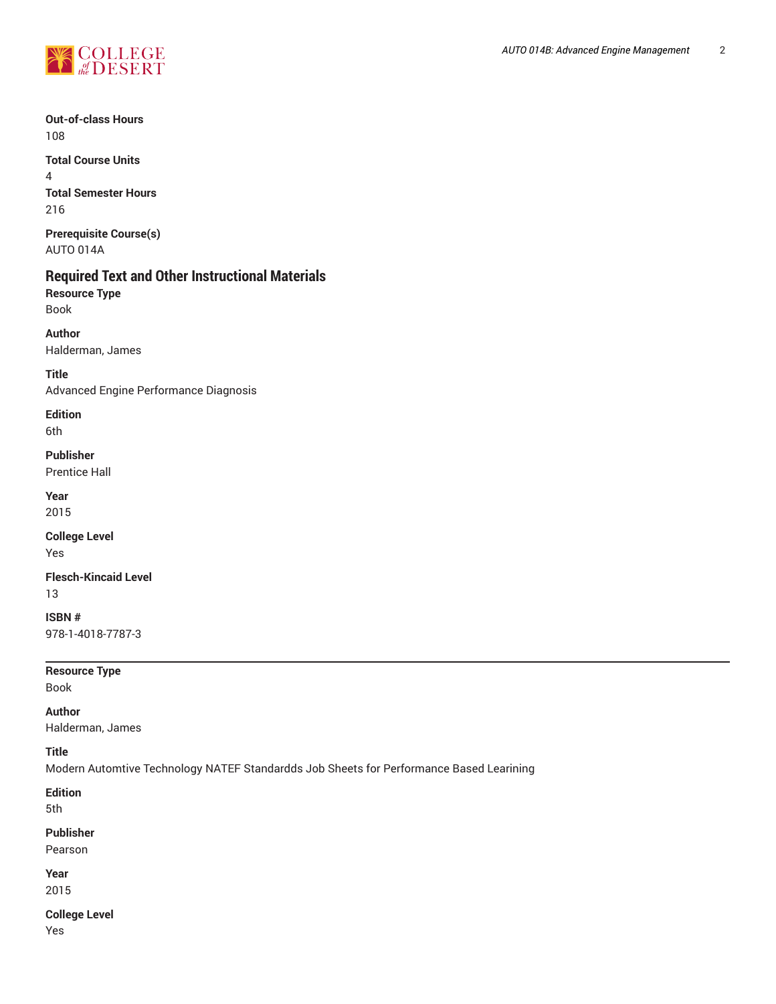

### **Out-of-class Hours** 108

**Total Course Units** 4 **Total Semester Hours** 216

**Prerequisite Course(s)** AUTO 014A

## **Required Text and Other Instructional Materials**

**Resource Type** Book

**Author** Halderman, James

**Title** Advanced Engine Performance Diagnosis

**Edition** 6th

**Publisher** Prentice Hall

**Year**

2015

**College Level** Yes

**Flesch-Kincaid Level** 13

**ISBN #** 978-1-4018-7787-3

**Resource Type**

Book

**Author** Halderman, James

#### **Title**

Modern Automtive Technology NATEF Standardds Job Sheets for Performance Based Learining

**Edition**

5th

#### **Publisher**

Pearson

**Year** 2015

**College Level**

Yes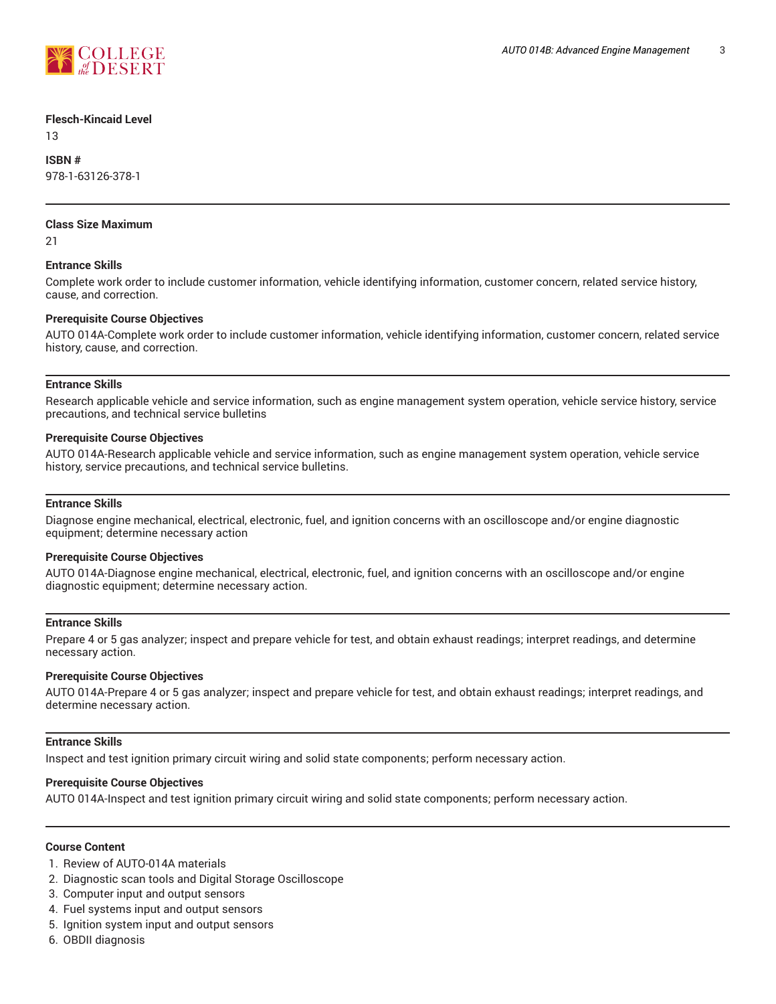

#### **Flesch-Kincaid Level**

13

**ISBN #** 978-1-63126-378-1

#### **Class Size Maximum**

21

#### **Entrance Skills**

Complete work order to include customer information, vehicle identifying information, customer concern, related service history, cause, and correction.

#### **Prerequisite Course Objectives**

AUTO 014A-Complete work order to include customer information, vehicle identifying information, customer concern, related service history, cause, and correction.

#### **Entrance Skills**

Research applicable vehicle and service information, such as engine management system operation, vehicle service history, service precautions, and technical service bulletins

#### **Prerequisite Course Objectives**

AUTO 014A-Research applicable vehicle and service information, such as engine management system operation, vehicle service history, service precautions, and technical service bulletins.

#### **Entrance Skills**

Diagnose engine mechanical, electrical, electronic, fuel, and ignition concerns with an oscilloscope and/or engine diagnostic equipment; determine necessary action

#### **Prerequisite Course Objectives**

AUTO 014A-Diagnose engine mechanical, electrical, electronic, fuel, and ignition concerns with an oscilloscope and/or engine diagnostic equipment; determine necessary action.

#### **Entrance Skills**

Prepare 4 or 5 gas analyzer; inspect and prepare vehicle for test, and obtain exhaust readings; interpret readings, and determine necessary action.

#### **Prerequisite Course Objectives**

AUTO 014A-Prepare 4 or 5 gas analyzer; inspect and prepare vehicle for test, and obtain exhaust readings; interpret readings, and determine necessary action.

#### **Entrance Skills**

Inspect and test ignition primary circuit wiring and solid state components; perform necessary action.

#### **Prerequisite Course Objectives**

AUTO 014A-Inspect and test ignition primary circuit wiring and solid state components; perform necessary action.

#### **Course Content**

- 1. Review of AUTO-014A materials
- 2. Diagnostic scan tools and Digital Storage Oscilloscope
- 3. Computer input and output sensors
- 4. Fuel systems input and output sensors
- 5. Ignition system input and output sensors
- 6. OBDII diagnosis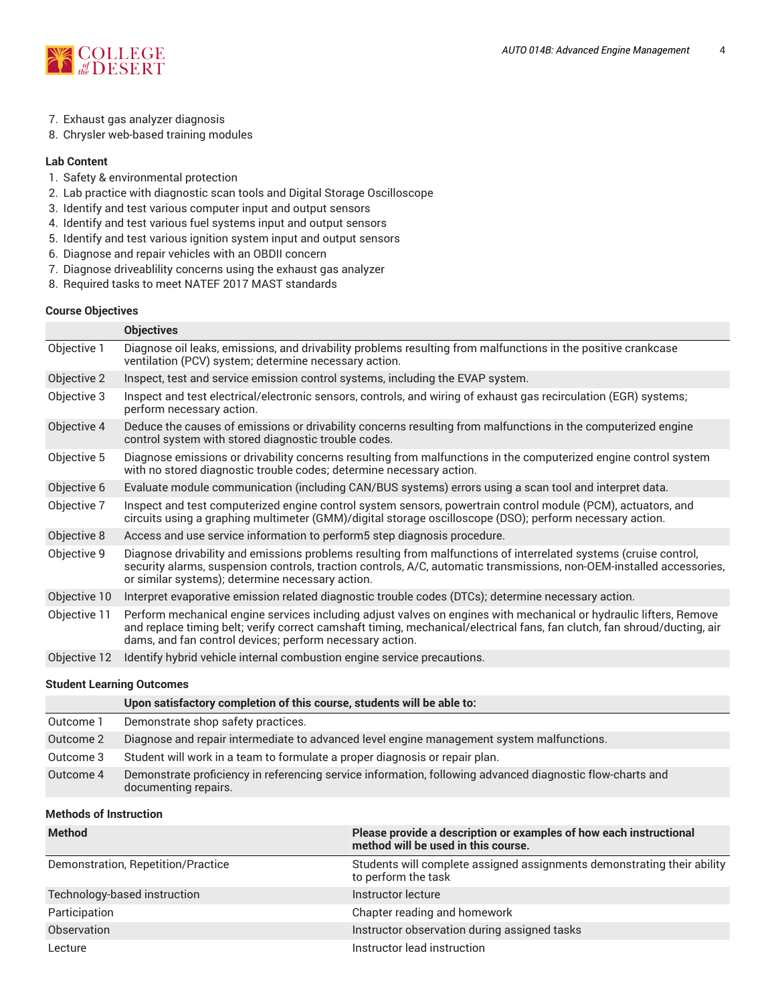

- 7. Exhaust gas analyzer diagnosis
- 8. Chrysler web-based training modules

#### **Lab Content**

- 1. Safety & environmental protection
- 2. Lab practice with diagnostic scan tools and Digital Storage Oscilloscope
- 3. Identify and test various computer input and output sensors
- 4. Identify and test various fuel systems input and output sensors
- 5. Identify and test various ignition system input and output sensors
- 6. Diagnose and repair vehicles with an OBDII concern
- 7. Diagnose driveablility concerns using the exhaust gas analyzer
- 8. Required tasks to meet NATEF 2017 MAST standards

#### **Course Objectives**

|              | <b>Objectives</b>                                                                                                                                                                                                                                                                                          |
|--------------|------------------------------------------------------------------------------------------------------------------------------------------------------------------------------------------------------------------------------------------------------------------------------------------------------------|
| Objective 1  | Diagnose oil leaks, emissions, and drivability problems resulting from malfunctions in the positive crankcase<br>ventilation (PCV) system; determine necessary action.                                                                                                                                     |
| Objective 2  | Inspect, test and service emission control systems, including the EVAP system.                                                                                                                                                                                                                             |
| Objective 3  | Inspect and test electrical/electronic sensors, controls, and wiring of exhaust gas recirculation (EGR) systems;<br>perform necessary action.                                                                                                                                                              |
| Objective 4  | Deduce the causes of emissions or drivability concerns resulting from malfunctions in the computerized engine<br>control system with stored diagnostic trouble codes.                                                                                                                                      |
| Objective 5  | Diagnose emissions or drivability concerns resulting from malfunctions in the computerized engine control system<br>with no stored diagnostic trouble codes; determine necessary action.                                                                                                                   |
| Objective 6  | Evaluate module communication (including CAN/BUS systems) errors using a scan tool and interpret data.                                                                                                                                                                                                     |
| Objective 7  | Inspect and test computerized engine control system sensors, powertrain control module (PCM), actuators, and<br>circuits using a graphing multimeter (GMM)/digital storage oscilloscope (DSO); perform necessary action.                                                                                   |
| Objective 8  | Access and use service information to perform5 step diagnosis procedure.                                                                                                                                                                                                                                   |
| Objective 9  | Diagnose drivability and emissions problems resulting from malfunctions of interrelated systems (cruise control,<br>security alarms, suspension controls, traction controls, A/C, automatic transmissions, non-OEM-installed accessories,<br>or similar systems); determine necessary action.              |
| Objective 10 | Interpret evaporative emission related diagnostic trouble codes (DTCs); determine necessary action.                                                                                                                                                                                                        |
| Objective 11 | Perform mechanical engine services including adjust valves on engines with mechanical or hydraulic lifters, Remove<br>and replace timing belt; verify correct camshaft timing, mechanical/electrical fans, fan clutch, fan shroud/ducting, air<br>dams, and fan control devices; perform necessary action. |
| Objective 12 | Identify hybrid vehicle internal combustion engine service precautions.                                                                                                                                                                                                                                    |
|              |                                                                                                                                                                                                                                                                                                            |

#### **Student Learning Outcomes**

|           | Upon satisfactory completion of this course, students will be able to:                                                            |
|-----------|-----------------------------------------------------------------------------------------------------------------------------------|
| Outcome 1 | Demonstrate shop safety practices.                                                                                                |
| Outcome 2 | Diagnose and repair intermediate to advanced level engine management system malfunctions.                                         |
| Outcome 3 | Student will work in a team to formulate a proper diagnosis or repair plan.                                                       |
| Outcome 4 | Demonstrate proficiency in referencing service information, following advanced diagnostic flow-charts and<br>documenting repairs. |

#### **Methods of Instruction**

| <b>Method</b>                      | Please provide a description or examples of how each instructional<br>method will be used in this course. |
|------------------------------------|-----------------------------------------------------------------------------------------------------------|
| Demonstration, Repetition/Practice | Students will complete assigned assignments demonstrating their ability<br>to perform the task            |
| Technology-based instruction       | Instructor lecture                                                                                        |
| Participation                      | Chapter reading and homework                                                                              |
| Observation                        | Instructor observation during assigned tasks                                                              |
| Lecture                            | Instructor lead instruction                                                                               |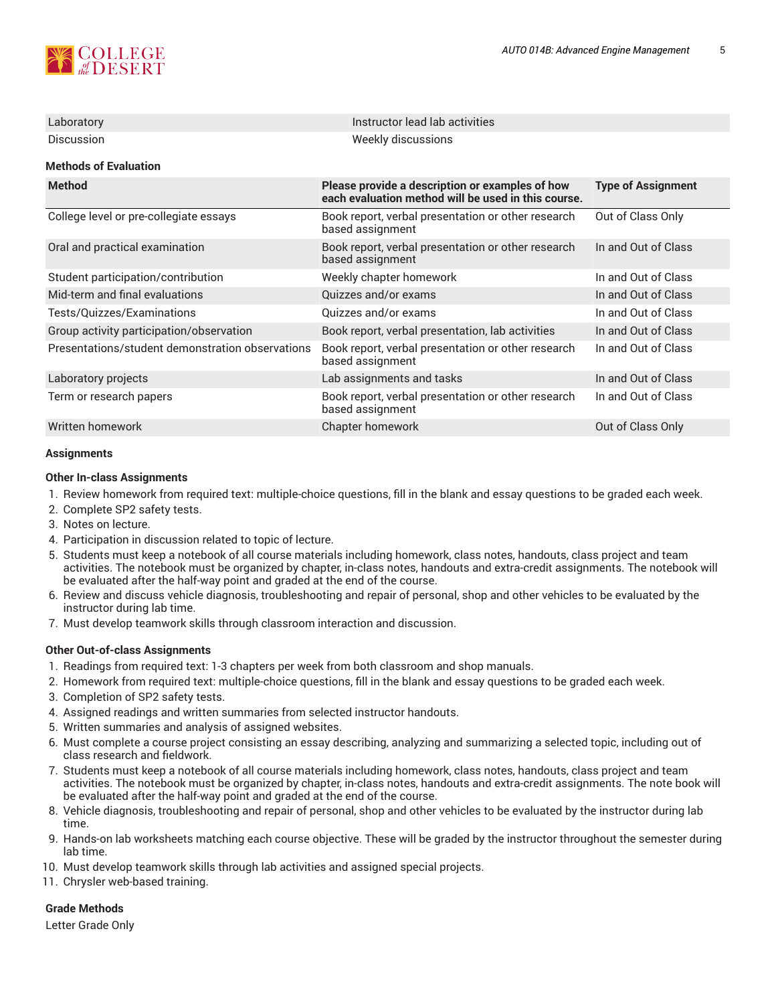

| Laboratory                                       | Instructor lead lab activities                                                                         |                           |  |  |  |  |
|--------------------------------------------------|--------------------------------------------------------------------------------------------------------|---------------------------|--|--|--|--|
| Discussion                                       | Weekly discussions                                                                                     |                           |  |  |  |  |
| <b>Methods of Evaluation</b>                     |                                                                                                        |                           |  |  |  |  |
| <b>Method</b>                                    | Please provide a description or examples of how<br>each evaluation method will be used in this course. | <b>Type of Assignment</b> |  |  |  |  |
| College level or pre-collegiate essays           | Book report, verbal presentation or other research<br>based assignment                                 | Out of Class Only         |  |  |  |  |
| Oral and practical examination                   | Book report, verbal presentation or other research<br>based assignment                                 | In and Out of Class       |  |  |  |  |
| Student participation/contribution               | Weekly chapter homework                                                                                | In and Out of Class       |  |  |  |  |
| Mid-term and final evaluations                   | Quizzes and/or exams                                                                                   | In and Out of Class       |  |  |  |  |
| Tests/Quizzes/Examinations                       | Quizzes and/or exams                                                                                   | In and Out of Class       |  |  |  |  |
| Group activity participation/observation         | Book report, verbal presentation, lab activities                                                       | In and Out of Class       |  |  |  |  |
| Presentations/student demonstration observations | Book report, verbal presentation or other research<br>based assignment                                 | In and Out of Class       |  |  |  |  |
| Laboratory projects                              | Lab assignments and tasks                                                                              | In and Out of Class       |  |  |  |  |
| Term or research papers                          | Book report, verbal presentation or other research<br>based assignment                                 | In and Out of Class       |  |  |  |  |
| Written homework                                 | Chapter homework                                                                                       | Out of Class Only         |  |  |  |  |

#### **Assignments**

#### **Other In-class Assignments**

- 1. Review homework from required text: multiple-choice questions, fill in the blank and essay questions to be graded each week.
- 2. Complete SP2 safety tests.
- 3. Notes on lecture.
- 4. Participation in discussion related to topic of lecture.
- 5. Students must keep a notebook of all course materials including homework, class notes, handouts, class project and team activities. The notebook must be organized by chapter, in-class notes, handouts and extra-credit assignments. The notebook will be evaluated after the half-way point and graded at the end of the course.
- 6. Review and discuss vehicle diagnosis, troubleshooting and repair of personal, shop and other vehicles to be evaluated by the instructor during lab time.
- 7. Must develop teamwork skills through classroom interaction and discussion.

#### **Other Out-of-class Assignments**

- 1. Readings from required text: 1-3 chapters per week from both classroom and shop manuals.
- 2. Homework from required text: multiple-choice questions, fill in the blank and essay questions to be graded each week.
- 3. Completion of SP2 safety tests.
- 4. Assigned readings and written summaries from selected instructor handouts.
- 5. Written summaries and analysis of assigned websites.
- 6. Must complete a course project consisting an essay describing, analyzing and summarizing a selected topic, including out of class research and fieldwork.
- 7. Students must keep a notebook of all course materials including homework, class notes, handouts, class project and team activities. The notebook must be organized by chapter, in-class notes, handouts and extra-credit assignments. The note book will be evaluated after the half-way point and graded at the end of the course.
- 8. Vehicle diagnosis, troubleshooting and repair of personal, shop and other vehicles to be evaluated by the instructor during lab time.
- 9. Hands-on lab worksheets matching each course objective. These will be graded by the instructor throughout the semester during lab time.
- 10. Must develop teamwork skills through lab activities and assigned special projects.
- 11. Chrysler web-based training.

#### **Grade Methods**

Letter Grade Only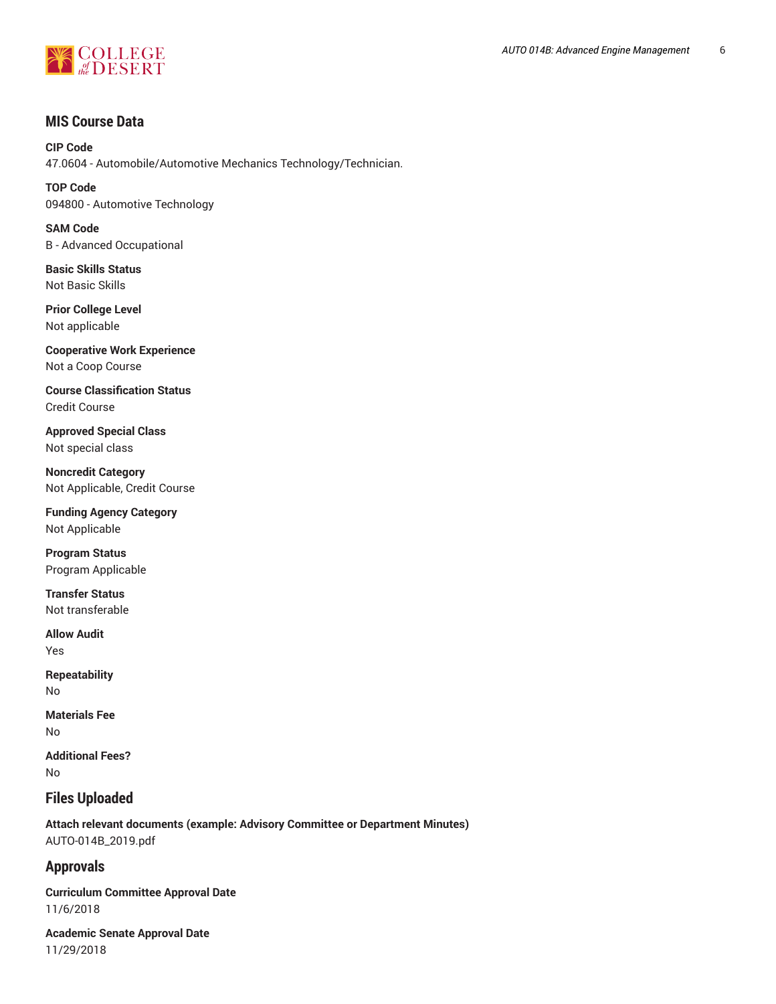

## **MIS Course Data**

**CIP Code** 47.0604 - Automobile/Automotive Mechanics Technology/Technician.

**TOP Code** 094800 - Automotive Technology

**SAM Code** B - Advanced Occupational

**Basic Skills Status** Not Basic Skills

**Prior College Level** Not applicable

**Cooperative Work Experience** Not a Coop Course

**Course Classification Status** Credit Course

**Approved Special Class** Not special class

**Noncredit Category** Not Applicable, Credit Course

**Funding Agency Category** Not Applicable

**Program Status** Program Applicable

**Transfer Status** Not transferable

**Allow Audit** Yes

**Repeatability** No

**Materials Fee** No

**Additional Fees?** No

## **Files Uploaded**

**Attach relevant documents (example: Advisory Committee or Department Minutes)** AUTO-014B\_2019.pdf

## **Approvals**

**Curriculum Committee Approval Date** 11/6/2018

**Academic Senate Approval Date** 11/29/2018